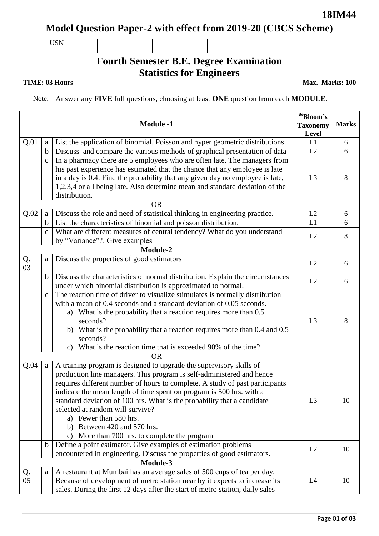# **Model Question Paper-2 with effect from 2019-20 (CBCS Scheme)**

USN

## **Fourth Semester B.E. Degree Examination Statistics for Engineers**

**TIME: 03 Hours** Max. Marks: 100

Note: Answer any **FIVE** full questions, choosing at least **ONE** question from each **MODULE**.

|          | *Bloom's<br><b>Taxonomy</b><br>Level | <b>Marks</b>                                                                                                                                                                                                                                                                                                                                                                                                                                                                                                                     |                |    |  |  |  |  |
|----------|--------------------------------------|----------------------------------------------------------------------------------------------------------------------------------------------------------------------------------------------------------------------------------------------------------------------------------------------------------------------------------------------------------------------------------------------------------------------------------------------------------------------------------------------------------------------------------|----------------|----|--|--|--|--|
| Q.01     | a                                    | List the application of binomial, Poisson and hyper geometric distributions                                                                                                                                                                                                                                                                                                                                                                                                                                                      | L1             | 6  |  |  |  |  |
|          | $\mathbf b$                          | Discuss and compare the various methods of graphical presentation of data                                                                                                                                                                                                                                                                                                                                                                                                                                                        | L2             | 6  |  |  |  |  |
|          | $\mathbf{c}$                         | In a pharmacy there are 5 employees who are often late. The managers from<br>his past experience has estimated that the chance that any employee is late<br>in a day is 0.4. Find the probability that any given day no employee is late,<br>1,2,3,4 or all being late. Also determine mean and standard deviation of the<br>distribution.                                                                                                                                                                                       | L <sub>3</sub> | 8  |  |  |  |  |
|          | <b>OR</b>                            |                                                                                                                                                                                                                                                                                                                                                                                                                                                                                                                                  |                |    |  |  |  |  |
| Q.02     | $\mathbf{a}$                         | Discuss the role and need of statistical thinking in engineering practice.                                                                                                                                                                                                                                                                                                                                                                                                                                                       | L2             | 6  |  |  |  |  |
|          | $\mathbf b$                          | List the characteristics of binomial and poisson distribution.                                                                                                                                                                                                                                                                                                                                                                                                                                                                   | L1             | 6  |  |  |  |  |
|          | $\mathbf{C}$                         | What are different measures of central tendency? What do you understand<br>by "Variance"?. Give examples                                                                                                                                                                                                                                                                                                                                                                                                                         | L2             | 8  |  |  |  |  |
|          |                                      | <b>Module-2</b>                                                                                                                                                                                                                                                                                                                                                                                                                                                                                                                  |                |    |  |  |  |  |
| Q.<br>03 | $\mathbf{a}$                         | Discuss the properties of good estimators                                                                                                                                                                                                                                                                                                                                                                                                                                                                                        | L2             | 6  |  |  |  |  |
|          | $\mathbf b$                          | Discuss the characteristics of normal distribution. Explain the circumstances<br>under which binomial distribution is approximated to normal.                                                                                                                                                                                                                                                                                                                                                                                    | L2             | 6  |  |  |  |  |
|          | $\mathbf C$                          | The reaction time of driver to visualize stimulates is normally distribution<br>with a mean of 0.4 seconds and a standard deviation of 0.05 seconds.<br>a) What is the probability that a reaction requires more than 0.5<br>seconds?<br>b) What is the probability that a reaction requires more than $0.4$ and $0.5$<br>seconds?<br>What is the reaction time that is exceeded 90% of the time?<br>C)<br><b>OR</b>                                                                                                             | L3             | 8  |  |  |  |  |
|          |                                      |                                                                                                                                                                                                                                                                                                                                                                                                                                                                                                                                  |                |    |  |  |  |  |
| Q.04     | $\mathbf{a}$                         | A training program is designed to upgrade the supervisory skills of<br>production line managers. This program is self-administered and hence<br>requires different number of hours to complete. A study of past participants<br>indicate the mean length of time spent on program is 500 hrs. with a<br>standard deviation of 100 hrs. What is the probability that a candidate<br>selected at random will survive?<br>a) Fewer than 580 hrs.<br>b) Between 420 and 570 hrs.<br>More than 700 hrs. to complete the program<br>C) | L <sub>3</sub> | 10 |  |  |  |  |
|          | $\mathbf b$                          | Define a point estimator. Give examples of estimation problems<br>encountered in engineering. Discuss the properties of good estimators.                                                                                                                                                                                                                                                                                                                                                                                         | L2             | 10 |  |  |  |  |
|          |                                      |                                                                                                                                                                                                                                                                                                                                                                                                                                                                                                                                  |                |    |  |  |  |  |
| Q.<br>05 | a                                    | A restaurant at Mumbai has an average sales of 500 cups of tea per day.<br>Because of development of metro station near by it expects to increase its<br>sales. During the first 12 days after the start of metro station, daily sales                                                                                                                                                                                                                                                                                           | L4             | 10 |  |  |  |  |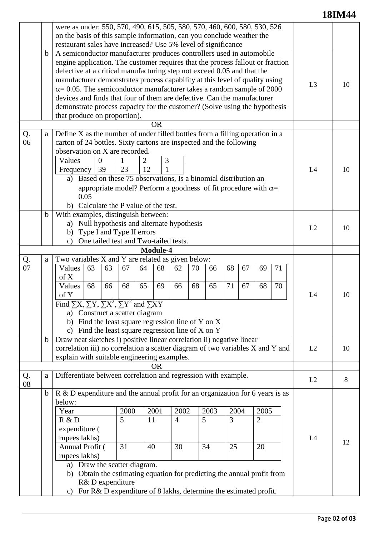### **18IM44**

|           |                                                                                                                                                                    | were as under: 550, 570, 490, 615, 505, 580, 570, 460, 600, 580, 530, 526                                                                                    |                                                                        |           |                                                 |    |      |      |    |                |    |    |    |
|-----------|--------------------------------------------------------------------------------------------------------------------------------------------------------------------|--------------------------------------------------------------------------------------------------------------------------------------------------------------|------------------------------------------------------------------------|-----------|-------------------------------------------------|----|------|------|----|----------------|----|----|----|
|           |                                                                                                                                                                    | on the basis of this sample information, can you conclude weather the                                                                                        |                                                                        |           |                                                 |    |      |      |    |                |    |    |    |
|           |                                                                                                                                                                    | restaurant sales have increased? Use 5% level of significance                                                                                                |                                                                        |           |                                                 |    |      |      |    |                |    |    |    |
|           | $\mathbf b$                                                                                                                                                        | A semiconductor manufacturer produces controllers used in automobile                                                                                         |                                                                        |           |                                                 |    |      |      |    |                |    |    |    |
|           |                                                                                                                                                                    | engine application. The customer requires that the process fallout or fraction                                                                               |                                                                        |           |                                                 |    |      |      |    |                |    |    |    |
|           |                                                                                                                                                                    | defective at a critical manufacturing step not exceed 0.05 and that the                                                                                      |                                                                        |           |                                                 |    |      |      |    |                |    |    |    |
|           |                                                                                                                                                                    |                                                                                                                                                              |                                                                        |           |                                                 |    |      |      |    |                |    |    |    |
|           |                                                                                                                                                                    | manufacturer demonstrates process capability at this level of quality using<br>$\alpha$ = 0.05. The semiconductor manufacturer takes a random sample of 2000 |                                                                        |           |                                                 |    |      |      |    | L3             | 10 |    |    |
|           |                                                                                                                                                                    | devices and finds that four of them are defective. Can the manufacturer                                                                                      |                                                                        |           |                                                 |    |      |      |    |                |    |    |    |
|           |                                                                                                                                                                    | demonstrate process capacity for the customer? (Solve using the hypothesis                                                                                   |                                                                        |           |                                                 |    |      |      |    |                |    |    |    |
|           |                                                                                                                                                                    | that produce on proportion).                                                                                                                                 |                                                                        |           |                                                 |    |      |      |    |                |    |    |    |
| <b>OR</b> |                                                                                                                                                                    |                                                                                                                                                              |                                                                        |           |                                                 |    |      |      |    |                |    |    |    |
| Q.        | Define X as the number of under filled bottles from a filling operation in a                                                                                       |                                                                                                                                                              |                                                                        |           |                                                 |    |      |      |    |                |    |    |    |
| 06        | a<br>carton of 24 bottles. Sixty cartons are inspected and the following                                                                                           |                                                                                                                                                              |                                                                        |           |                                                 |    |      |      |    |                |    |    |    |
|           |                                                                                                                                                                    | observation on X are recorded.                                                                                                                               |                                                                        |           |                                                 |    |      |      |    |                |    |    | 10 |
|           |                                                                                                                                                                    | Values<br>$\overline{0}$                                                                                                                                     | 1                                                                      | 2         | 3                                               |    |      |      |    |                |    |    |    |
|           |                                                                                                                                                                    | 39                                                                                                                                                           | 23                                                                     | 12        | $\mathbf{1}$                                    |    |      |      |    |                |    |    |    |
|           |                                                                                                                                                                    | Frequency                                                                                                                                                    |                                                                        |           |                                                 |    |      |      |    |                |    | L4 |    |
|           |                                                                                                                                                                    | Based on these 75 observations, Is a binomial distribution an<br>a)                                                                                          |                                                                        |           |                                                 |    |      |      |    |                |    |    |    |
|           |                                                                                                                                                                    |                                                                                                                                                              | appropriate model? Perform a goodness of fit procedure with $\alpha$ = |           |                                                 |    |      |      |    |                |    |    |    |
|           |                                                                                                                                                                    | 0.05                                                                                                                                                         |                                                                        |           |                                                 |    |      |      |    |                |    |    |    |
|           |                                                                                                                                                                    | b) Calculate the P value of the test.                                                                                                                        |                                                                        |           |                                                 |    |      |      |    |                |    |    |    |
|           |                                                                                                                                                                    | With examples, distinguish between:<br>$\mathbf b$<br>a) Null hypothesis and alternate hypothesis<br>b) Type I and Type II errors                            |                                                                        |           |                                                 |    |      |      |    |                |    |    |    |
|           |                                                                                                                                                                    |                                                                                                                                                              |                                                                        |           |                                                 |    |      |      |    | L2             | 10 |    |    |
|           |                                                                                                                                                                    |                                                                                                                                                              |                                                                        |           |                                                 |    |      |      |    |                |    |    |    |
|           |                                                                                                                                                                    | One tailed test and Two-tailed tests.<br>$\mathbf{c}$                                                                                                        |                                                                        |           |                                                 |    |      |      |    |                |    |    |    |
|           |                                                                                                                                                                    |                                                                                                                                                              |                                                                        | Module-4  |                                                 |    |      |      |    |                |    |    |    |
| Q.        | a                                                                                                                                                                  | Two variables X and Y are related as given below:                                                                                                            |                                                                        |           |                                                 |    |      |      |    |                |    |    |    |
| 07        |                                                                                                                                                                    | 63<br>Values                                                                                                                                                 | 63<br>67                                                               | 64<br>68  | 62                                              | 70 | 66   | 68   | 67 | 69             | 71 |    | 10 |
|           |                                                                                                                                                                    | of X                                                                                                                                                         |                                                                        |           |                                                 |    |      |      |    |                |    |    |    |
|           |                                                                                                                                                                    | Values<br>68                                                                                                                                                 | 66<br>68                                                               | 65<br>69  | 66                                              | 68 | 65   | 71   | 67 | 68             | 70 |    |    |
|           |                                                                                                                                                                    | of Y                                                                                                                                                         |                                                                        |           |                                                 |    |      |      |    |                |    | L4 |    |
|           |                                                                                                                                                                    | Find $\Sigma X$ , $\Sigma Y$ , $\Sigma X^2$ , $\Sigma Y^2$ and $\Sigma XY$                                                                                   |                                                                        |           |                                                 |    |      |      |    |                |    |    |    |
|           |                                                                                                                                                                    | a) Construct a scatter diagram                                                                                                                               |                                                                        |           |                                                 |    |      |      |    |                |    |    |    |
|           |                                                                                                                                                                    | b) Find the least square regression line of Y on X                                                                                                           |                                                                        |           |                                                 |    |      |      |    |                |    |    |    |
|           |                                                                                                                                                                    | $\mathbf{c}$                                                                                                                                                 |                                                                        |           | Find the least square regression line of X on Y |    |      |      |    |                |    |    |    |
|           | $\mathbf b$                                                                                                                                                        | Draw neat sketches i) positive linear correlation ii) negative linear                                                                                        |                                                                        |           |                                                 |    |      |      |    |                |    |    |    |
|           |                                                                                                                                                                    | correlation iii) no correlation a scatter diagram of two variables X and Y and                                                                               |                                                                        |           |                                                 |    |      |      |    |                |    | L2 | 10 |
|           |                                                                                                                                                                    | explain with suitable engineering examples.                                                                                                                  |                                                                        |           |                                                 |    |      |      |    |                |    |    |    |
|           |                                                                                                                                                                    |                                                                                                                                                              |                                                                        | <b>OR</b> |                                                 |    |      |      |    |                |    |    |    |
| Q.        | a                                                                                                                                                                  | Differentiate between correlation and regression with example.                                                                                               |                                                                        |           |                                                 |    |      |      |    |                |    | L2 | 8  |
| 08        |                                                                                                                                                                    |                                                                                                                                                              |                                                                        |           |                                                 |    |      |      |    |                |    |    |    |
|           | b                                                                                                                                                                  | R & D expenditure and the annual profit for an organization for 6 years is as                                                                                |                                                                        |           |                                                 |    |      |      |    |                |    |    |    |
|           | below:                                                                                                                                                             |                                                                                                                                                              |                                                                        |           |                                                 |    |      |      |    |                |    |    |    |
|           |                                                                                                                                                                    | Year                                                                                                                                                         | 2000                                                                   | 2001      | 2002                                            |    | 2003 | 2004 |    | 2005           |    |    |    |
|           |                                                                                                                                                                    | R & D                                                                                                                                                        | 5                                                                      | 11        | $\overline{4}$                                  | 5  |      | 3    |    | $\overline{2}$ |    |    |    |
|           |                                                                                                                                                                    | expenditure (                                                                                                                                                |                                                                        |           |                                                 |    |      |      |    |                |    |    |    |
|           |                                                                                                                                                                    | rupees lakhs)                                                                                                                                                |                                                                        |           |                                                 |    |      |      |    |                |    | L4 | 12 |
|           |                                                                                                                                                                    | Annual Profit (                                                                                                                                              | 31                                                                     | 40        | 30                                              | 34 |      | 25   |    | 20             |    |    |    |
|           |                                                                                                                                                                    | rupees lakhs)                                                                                                                                                |                                                                        |           |                                                 |    |      |      |    |                |    |    |    |
|           | a) Draw the scatter diagram.                                                                                                                                       |                                                                                                                                                              |                                                                        |           |                                                 |    |      |      |    |                |    |    |    |
|           | b) Obtain the estimating equation for predicting the annual profit from<br>R& D expenditure<br>c) For R& D expenditure of 8 lakhs, determine the estimated profit. |                                                                                                                                                              |                                                                        |           |                                                 |    |      |      |    |                |    |    |    |
|           |                                                                                                                                                                    |                                                                                                                                                              |                                                                        |           |                                                 |    |      |      |    |                |    |    |    |
|           |                                                                                                                                                                    |                                                                                                                                                              |                                                                        |           |                                                 |    |      |      |    |                |    |    |    |